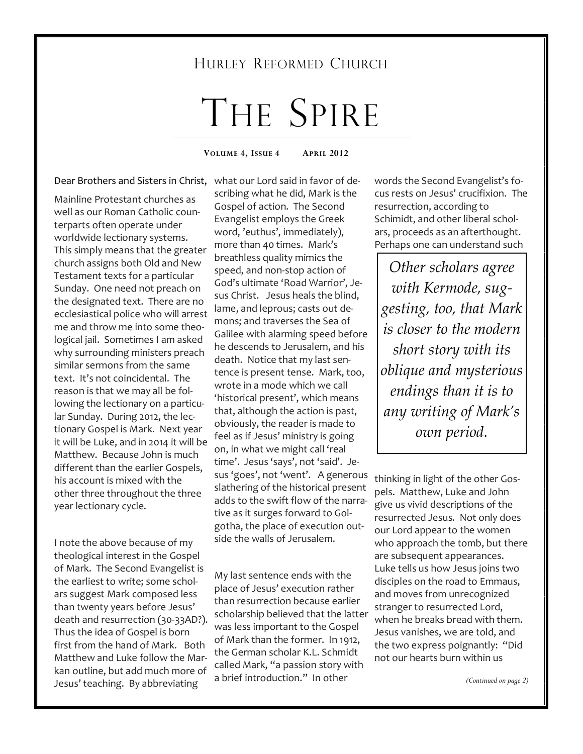#### HURLEY REFORMED CHURCH

# THE SPIRE

**VOLUME 4, ISSUE 4 APRIL 2012** 

Mainline Protestant churches as well as our Roman Catholic counterparts often operate under worldwide lectionary systems. This simply means that the greater church assigns both Old and New Testament texts for a particular Sunday. One need not preach on the designated text. There are no ecclesiastical police who will arrest me and throw me into some theological jail. Sometimes I am asked why surrounding ministers preach similar sermons from the same text. It's not coincidental. The reason is that we may all be following the lectionary on a particular Sunday. During 2012, the lectionary Gospel is Mark. Next year it will be Luke, and in 2014 it will be Matthew. Because John is much different than the earlier Gospels, his account is mixed with the other three throughout the three year lectionary cycle.

I note the above because of my theological interest in the Gospel of Mark. The Second Evangelist is the earliest to write; some scholars suggest Mark composed less than twenty years before Jesus' death and resurrection (30-33AD?). Thus the idea of Gospel is born first from the hand of Mark. Both Matthew and Luke follow the Markan outline, but add much more of Jesus' teaching. By abbreviating

Dear Brothers and Sisters in Christ, what our Lord said in favor of describing what he did, Mark is the Gospel of action. The Second Evangelist employs the Greek word, 'euthus', immediately), more than 40 times. Mark's breathless quality mimics the speed, and non-stop action of God's ultimate 'Road Warrior', Jesus Christ. Jesus heals the blind, lame, and leprous; casts out demons; and traverses the Sea of Galilee with alarming speed before he descends to Jerusalem, and his death. Notice that my last sentence is present tense. Mark, too, wrote in a mode which we call 'historical present', which means that, although the action is past, obviously, the reader is made to feel as if Jesus' ministry is going on, in what we might call 'real time'. Jesus 'says', not 'said'. Jesus 'goes', not 'went'. A generous slathering of the historical present adds to the swift flow of the narrative as it surges forward to Golgotha, the place of execution outside the walls of Jerusalem.

> My last sentence ends with the place of Jesus' execution rather than resurrection because earlier scholarship believed that the latter was less important to the Gospel of Mark than the former. In 1912, the German scholar K.L. Schmidt called Mark, "a passion story with a brief introduction." In other

words the Second Evangelist's focus rests on Jesus' crucifixion. The resurrection, according to Schimidt, and other liberal scholars, proceeds as an afterthought. Perhaps one can understand such

*Other scholars agree with Kermode, suggesting, too, that Mark is closer to the modern short story with its oblique and mysterious endings than it is to any writing of Mark's own period.* 

thinking in light of the other Gospels. Matthew, Luke and John give us vivid descriptions of the resurrected Jesus. Not only does our Lord appear to the women who approach the tomb, but there are subsequent appearances. Luke tells us how Jesus joins two disciples on the road to Emmaus, and moves from unrecognized stranger to resurrected Lord, when he breaks bread with them. Jesus vanishes, we are told, and the two express poignantly: "Did not our hearts burn within us

*(Continued on page 2)*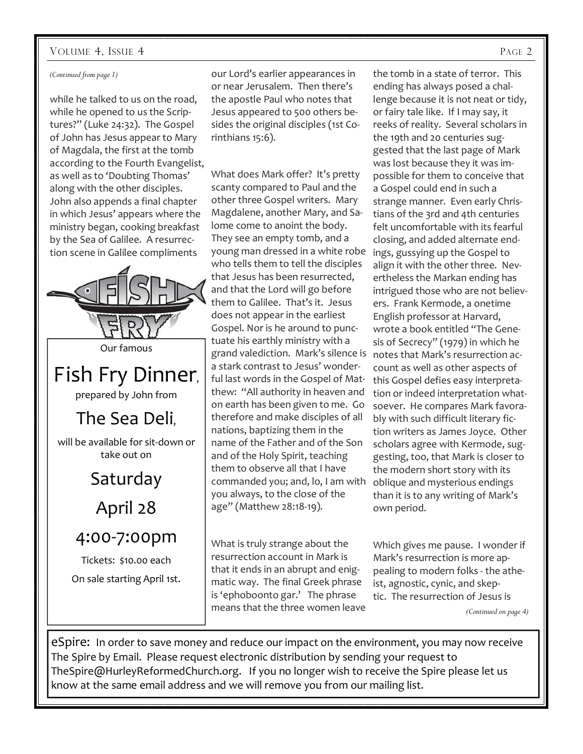#### *(Continued from page 1)*

while he talked to us on the road, while he opened to us the Scriptures?" (Luke 24:32). The Gospel of John has Jesus appear to Mary of Magdala, the first at the tomb according to the Fourth Evangelist, as well as to 'Doubting Thomas' along with the other disciples. John also appends a final chapter in which Jesus' appears where the ministry began, cooking breakfast by the Sea of Galilee. A resurrection scene in Galilee compliments



our Lord's earlier appearances in or near Jerusalem. Then there's the apostle Paul who notes that Jesus appeared to 500 others besides the original disciples (1st Corinthians 15:6).

What does Mark offer? It's pretty scanty compared to Paul and the other three Gospel writers. Mary Magdalene, another Mary, and Salome come to anoint the body. They see an empty tomb, and a young man dressed in a white robe who tells them to tell the disciples that Jesus has been resurrected, and that the Lord will go before them to Galilee. That's it. Jesus does not appear in the earliest Gospel. Nor is he around to punctuate his earthly ministry with a grand valediction. Mark's silence is a stark contrast to Jesus' wonderful last words in the Gospel of Matthew: "All authority in heaven and on earth has been given to me. Go therefore and make disciples of all nations, baptizing them in the name of the Father and of the Son and of the Holy Spirit, teaching them to observe all that I have commanded you; and, lo, I am with you always, to the close of the age" (Matthew 28:18-19).

What is truly strange about the resurrection account in Mark is that it ends in an abrupt and enigmatic way. The final Greek phrase is 'ephoboonto gar.' The phrase means that the three women leave

the tomb in a state of terror. This ending has always posed a challenge because it is not neat or tidy, or fairy tale like. If I may say, it reeks of reality. Several scholars in the 19th and 20 centuries suggested that the last page of Mark was lost because they it was impossible for them to conceive that a Gospel could end in such a strange manner. Even early Christians of the 3rd and 4th centuries felt uncomfortable with its fearful closing, and added alternate endings, gussying up the Gospel to align it with the other three. Nevertheless the Markan ending has intrigued those who are not believers. Frank Kermode, a onetime English professor at Harvard, wrote a book entitled "The Genesis of Secrecy" (1979) in which he notes that Mark's resurrection account as well as other aspects of this Gospel defies easy interpretation or indeed interpretation whatsoever. He compares Mark favorably with such difficult literary fiction writers as James Joyce. Other scholars agree with Kermode, suggesting, too, that Mark is closer to the modern short story with its oblique and mysterious endings than it is to any writing of Mark's own period.

Which gives me pause. I wonder if Mark's resurrection is more appealing to modern folks - the atheist, agnostic, cynic, and skeptic. The resurrection of Jesus is

*(Continued on page 4)* 

eSpire: In order to save money and reduce our impact on the environment, you may now receive The Spire by Email. Please request electronic distribution by sending your request to TheSpire@HurleyReformedChurch.org. If you no longer wish to receive the Spire please let us know at the same email address and we will remove you from our mailing list.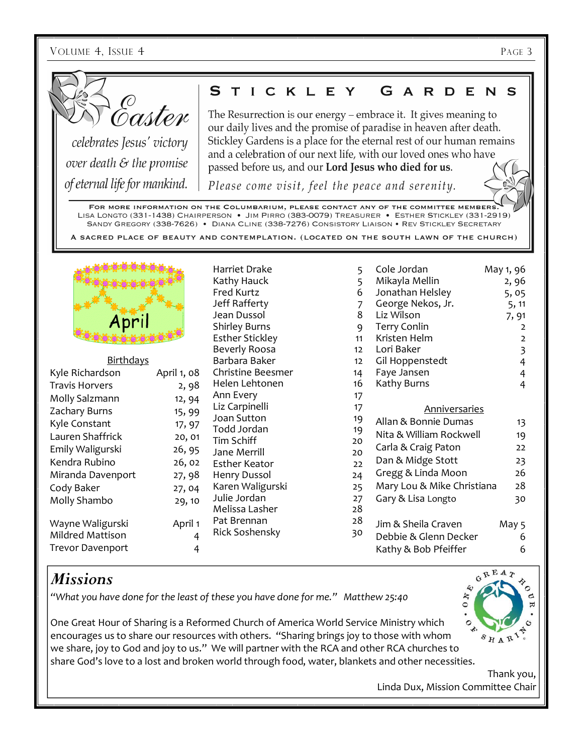

celebrates Jesus' victory over death & the promise of eternal life for mankind.

#### STICKLEY GARDEN  $\mathbf S$

The Resurrection is our energy - embrace it. It gives meaning to our daily lives and the promise of paradise in heaven after death. Stickley Gardens is a place for the eternal rest of our human remains and a celebration of our next life, with our loved ones who have passed before us, and our Lord Jesus who died for us.

Please come visit, feel the peace and serenity.

FOR MORE INFORMATION ON THE COLUMBARIUM, PLEASE CONTACT ANY OF THE COMMITTEE MEMBERS LISA LONGTO (331-1438) CHAIRPERSON . JIM PIRRO (383-0079) TREASURER . ESTHER STICKLEY (331-2919) SANDY GREGORY (338-7626) · DIANA CLINE (338-7276) CONSISTORY LIAISON · REV STICKLEY SECRETARY

A SACRED PLACE OF BEAUTY AND CONTEMPLATION. (LOCATED ON THE SOUTH LAWN OF THE CHURCH)



#### Birthdays Kyle Richardson April 1, 08 Travis Horvers 2, 98

Trevor Davenport 4

Molly Salzmann 12, 94 Zachary Burns 15, 99 Kyle Constant 17, 97 Lauren Shaffrick 20, 01 Emily Waligurski 26, 95 Kendra Rubino 26, 02 Miranda Davenport 27, 98 Cody Baker 27, 04 Molly Shambo 29, 10 Wayne Waligurski April 1 Mildred Mattison 4 Kathy Hauck 5 Fred Kurtz Jeff Rafferty Jean Dussol 8 Shirley Burns 9 Esther Stickley Beverly Roosa 12 Barbara Baker 12 Christine Beesmer 14 Helen Lehtonen 16 Ann Every Liz Carpinelli 17 Joan Sutton Todd Jordan Tim Schiff 20 Jane Merrill Esther Keator Henry Dussol 24 Karen Waligurski Julie Jordan 27 Melissa Lasher Pat Brennan Rick Soshensky

Harriet Drake 5

| 5              | Cole Jordan                | May 1, 96               |  |
|----------------|----------------------------|-------------------------|--|
| 5              | Mikayla Mellin             | 2, 96                   |  |
| 6              | Jonathan Helsley           | 5, 05                   |  |
| $\overline{7}$ | George Nekos, Jr.          | 5, 11                   |  |
| 8              | Liz Wilson                 | 7, 91                   |  |
| 9              | <b>Terry Conlin</b>        | 2                       |  |
| 11             | Kristen Helm               | $\mathbf 2$             |  |
| 12             | Lori Baker                 | $\overline{\mathbf{3}}$ |  |
| 12             | Gil Hoppenstedt            | 4                       |  |
| 14             | Faye Jansen                | 4                       |  |
| 16             | Kathy Burns                | 4                       |  |
| 17             |                            |                         |  |
| 17             | <b>Anniversaries</b>       |                         |  |
| 19             | Allan & Bonnie Dumas       | 13                      |  |
| 19             | Nita & William Rockwell    | 19                      |  |
| 20             | Carla & Craig Paton        | 22                      |  |
| 20             | Dan & Midge Stott          |                         |  |
| 22             |                            | 23                      |  |
| 24             | Gregg & Linda Moon         | 26                      |  |
| 25             | Mary Lou & Mike Christiana | 28                      |  |
| 27             | Gary & Lisa Longto         | 30                      |  |
| 28             |                            |                         |  |
| 28             | Jim & Sheila Craven        | May 5                   |  |
| 30             | Debbie & Glenn Decker      | 6                       |  |
|                | Kathy & Bob Pfeiffer       | 6                       |  |
|                |                            |                         |  |

#### *Missions*

*"What you have done for the least of these you have done for me." Matthew 25:40* 

One Great Hour of Sharing is a Reformed Church of America World Service Ministry which encourages us to share our resources with others. "Sharing brings joy to those with whom we share, joy to God and joy to us." We will partner with the RCA and other RCA churches to share God's love to a lost and broken world through food, water, blankets and other necessities.

Thank you, Linda Dux, Mission Committee Chair

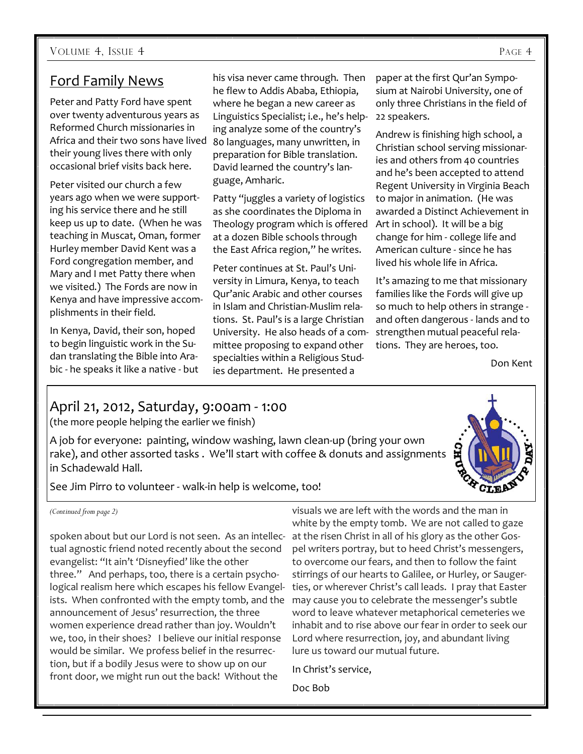#### Ford Family News

Peter and Patty Ford have spent over twenty adventurous years as Reformed Church missionaries in Africa and their two sons have lived their young lives there with only occasional brief visits back here.

Peter visited our church a few years ago when we were supporting his service there and he still keep us up to date. (When he was teaching in Muscat, Oman, former Hurley member David Kent was a Ford congregation member, and Mary and I met Patty there when we visited.) The Fords are now in Kenya and have impressive accomplishments in their field.

In Kenya, David, their son, hoped to begin linguistic work in the Sudan translating the Bible into Arabic - he speaks it like a native - but

his visa never came through. Then he flew to Addis Ababa, Ethiopia, where he began a new career as Linguistics Specialist; i.e., he's helping analyze some of the country's 80 languages, many unwritten, in preparation for Bible translation. David learned the country's language, Amharic.

Patty "juggles a variety of logistics as she coordinates the Diploma in Theology program which is offered at a dozen Bible schools through the East Africa region," he writes.

Peter continues at St. Paul's University in Limura, Kenya, to teach Qur'anic Arabic and other courses in Islam and Christian-Muslim relations. St. Paul's is a large Christian University. He also heads of a committee proposing to expand other specialties within a Religious Studies department. He presented a

paper at the first Qur'an Symposium at Nairobi University, one of only three Christians in the field of 22 speakers.

Andrew is finishing high school, a Christian school serving missionaries and others from 40 countries and he's been accepted to attend Regent University in Virginia Beach to major in animation. (He was awarded a Distinct Achievement in Art in school). It will be a big change for him - college life and American culture - since he has lived his whole life in Africa.

It's amazing to me that missionary families like the Fords will give up so much to help others in strange and often dangerous - lands and to strengthen mutual peaceful relations. They are heroes, too.

Don Kent

#### April 21, 2012, Saturday, 9:00am - 1:00

(the more people helping the earlier we finish)

A job for everyone: painting, window washing, lawn clean-up (bring your own rake), and other assorted tasks . We'll start with coffee & donuts and assignments in Schadewald Hall.

See Jim Pirro to volunteer - walk-in help is welcome, too!

*(Continued from page 2)* 

spoken about but our Lord is not seen. As an intellectual agnostic friend noted recently about the second evangelist: "It ain't 'Disneyfied' like the other three." And perhaps, too, there is a certain psychological realism here which escapes his fellow Evangelists. When confronted with the empty tomb, and the announcement of Jesus' resurrection, the three women experience dread rather than joy. Wouldn't we, too, in their shoes? I believe our initial response would be similar. We profess belief in the resurrection, but if a bodily Jesus were to show up on our front door, we might run out the back! Without the

visuals we are left with the words and the man in white by the empty tomb. We are not called to gaze at the risen Christ in all of his glory as the other Gospel writers portray, but to heed Christ's messengers, to overcome our fears, and then to follow the faint stirrings of our hearts to Galilee, or Hurley, or Saugerties, or wherever Christ's call leads. I pray that Easter may cause you to celebrate the messenger's subtle word to leave whatever metaphorical cemeteries we inhabit and to rise above our fear in order to seek our Lord where resurrection, joy, and abundant living lure us toward our mutual future.

In Christ's service,

Doc Bob

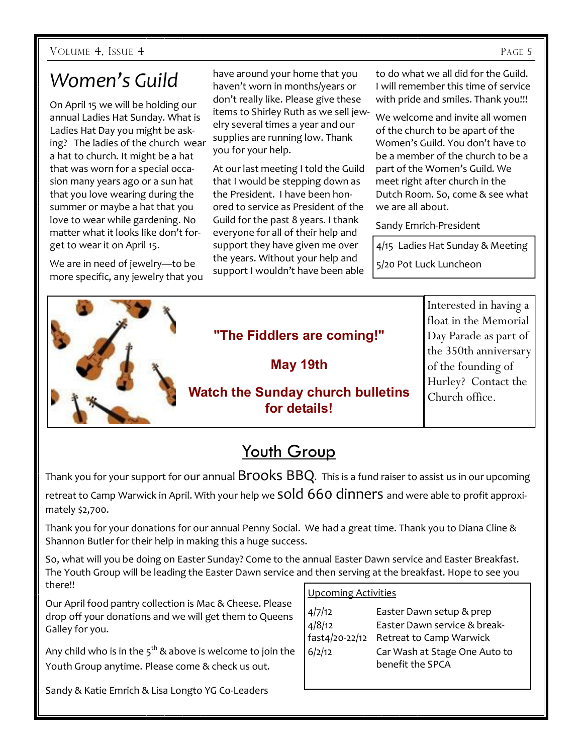### *Women's Guild*

On April 15 we will be holding our annual Ladies Hat Sunday. What is Ladies Hat Day you might be asking? The ladies of the church wear a hat to church. It might be a hat that was worn for a special occasion many years ago or a sun hat that you love wearing during the summer or maybe a hat that you love to wear while gardening. No matter what it looks like don't forget to wear it on April 15.

We are in need of jewelry—to be more specific, any jewelry that you have around your home that you haven't worn in months/years or don't really like. Please give these items to Shirley Ruth as we sell jewelry several times a year and our supplies are running low. Thank you for your help.

At our last meeting I told the Guild that I would be stepping down as the President. I have been honored to service as President of the Guild for the past 8 years. I thank everyone for all of their help and support they have given me over the years. Without your help and support I wouldn't have been able

to do what we all did for the Guild. I will remember this time of service with pride and smiles. Thank you!!!

We welcome and invite all women of the church to be apart of the Women's Guild. You don't have to be a member of the church to be a part of the Women's Guild. We meet right after church in the Dutch Room. So, come & see what we are all about.

Sandy Emrich-President

4/15 Ladies Hat Sunday & Meeting

5/20 Pot Luck Luncheon



### **Youth Group**

Thank you for your support for our annual  $Brooks$  BBQ. This is a fund raiser to assist us in our upcoming retreat to Camp Warwick in April. With your help we SOId 660 dinners and were able to profit approximately \$2,700.

Thank you for your donations for our annual Penny Social. We had a great time. Thank you to Diana Cline & Shannon Butler for their help in making this a huge success.

So, what will you be doing on Easter Sunday? Come to the annual Easter Dawn service and Easter Breakfast. The Youth Group will be leading the Easter Dawn service and then serving at the breakfast. Hope to see you there!!

Our April food pantry collection is Mac & Cheese. Please drop off your donations and we will get them to Queens Galley for you.

Any child who is in the  $5^{th}$  & above is welcome to join the Youth Group anytime. Please come & check us out.

Upcoming Activities

| 6/2/12 | 4/7/12 Easter Dawn setup & prep<br>4/8/12 Easter Dawn service & brea<br>fast4/20-22/12 Retreat to Camp Warwick<br>Easter Dawn service & break-<br>Car Wash at Stage One Auto to |
|--------|---------------------------------------------------------------------------------------------------------------------------------------------------------------------------------|
|        | benefit the SPCA                                                                                                                                                                |

Sandy & Katie Emrich & Lisa Longto YG Co-Leaders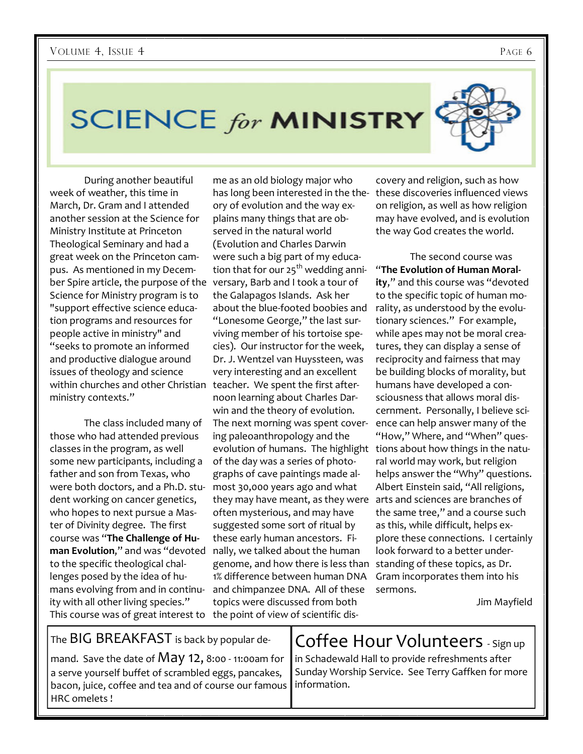## **SCIENCE for MINISTRY**

During another beautiful week of weather, this time in March, Dr. Gram and I attended another session at the Science for Ministry Institute at Princeton Theological Seminary and had a great week on the Princeton campus. As mentioned in my December Spire article, the purpose of the versary, Barb and I took a tour of Science for Ministry program is to "support effective science education programs and resources for people active in ministry" and "seeks to promote an informed and productive dialogue around issues of theology and science within churches and other Christian teacher. We spent the first afterministry contexts."

The class included many of those who had attended previous classes in the program, as well some new participants, including a father and son from Texas, who were both doctors, and a Ph.D. student working on cancer genetics, who hopes to next pursue a Master of Divinity degree. The first course was "**The Challenge of Hu**man Evolution," and was "devoted nally, we talked about the human to the specific theological challenges posed by the idea of humans evolving from and in continuity with all other living species." This course was of great interest to the point of view of scientific dis-

me as an old biology major who has long been interested in the theory of evolution and the way explains many things that are observed in the natural world (Evolution and Charles Darwin were such a big part of my education that for our  $25<sup>th</sup>$  wedding annithe Galapagos Islands. Ask her about the blue-footed boobies and "Lonesome George," the last surviving member of his tortoise species). Our instructor for the week, Dr. J. Wentzel van Huyssteen, was very interesting and an excellent noon learning about Charles Darwin and the theory of evolution. The next morning was spent covering paleoanthropology and the evolution of humans. The highlight tions about how things in the natuof the day was a series of photographs of cave paintings made almost 30,000 years ago and what they may have meant, as they were arts and sciences are branches of often mysterious, and may have suggested some sort of ritual by these early human ancestors. Figenome, and how there is less than standing of these topics, as Dr. 1% difference between human DNA and chimpanzee DNA. All of these topics were discussed from both

covery and religion, such as how these discoveries influenced views on religion, as well as how religion may have evolved, and is evolution the way God creates the world.

The second course was "**The Evolution of Human Morality**," and this course was "devoted to the specific topic of human morality, as understood by the evolutionary sciences." For example, while apes may not be moral creatures, they can display a sense of reciprocity and fairness that may be building blocks of morality, but humans have developed a consciousness that allows moral discernment. Personally, I believe science can help answer many of the "How," Where, and "When" quesral world may work, but religion helps answer the "Why" questions. Albert Einstein said, "All religions, the same tree," and a course such as this, while difficult, helps explore these connections. I certainly look forward to a better under-Gram incorporates them into his sermons.

Jim Mayfield

#### The BIG BREAKFAST is back by popular de-

mand. Save the date of May 12, 8:00 - 11:00am for a serve yourself buffet of scrambled eggs, pancakes, bacon, juice, coffee and tea and of course our famous HRC omelets !

### Coffee Hour Volunteers - Sign up

in Schadewald Hall to provide refreshments after Sunday Worship Service. See Terry Gaffken for more information.